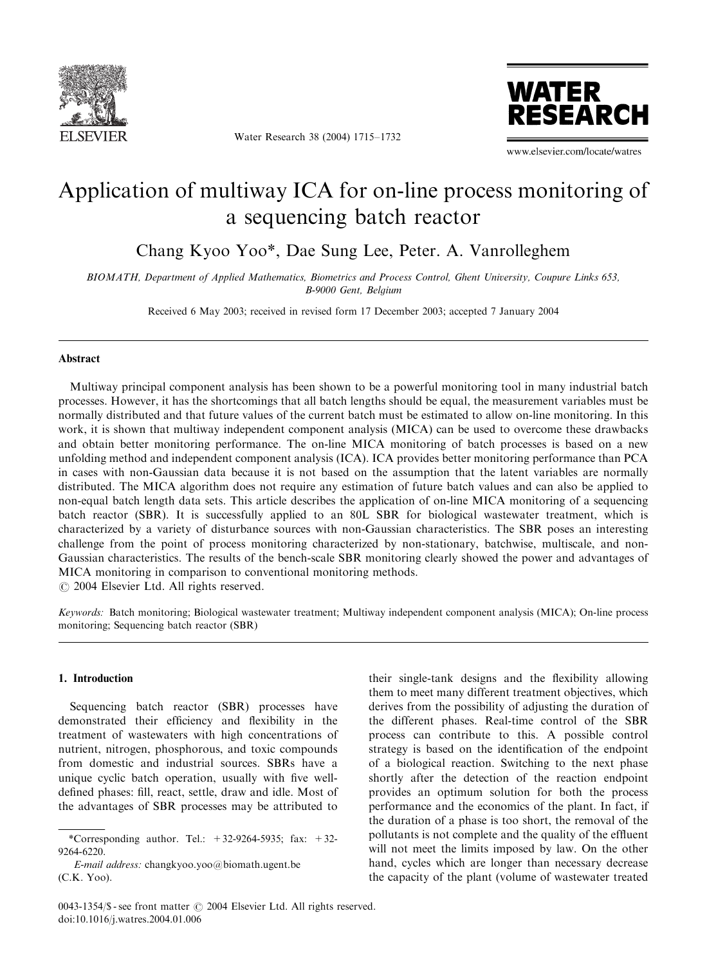

Water Research 38 (2004) 1715–1732



www.elsevier.com/locate/watres

# Application of multiway ICA for on-line process monitoring of a sequencing batch reactor

Chang Kyoo Yoo\*, Dae Sung Lee, Peter. A. Vanrolleghem

BIOMATH, Department of Applied Mathematics, Biometrics and Process Control, Ghent University, Coupure Links 653, B-9000 Gent, Belgium

Received 6 May 2003; received in revised form 17 December 2003; accepted 7 January 2004

## Abstract

Multiway principal component analysis has been shown to be a powerful monitoring tool in many industrial batch processes. However, it has the shortcomings that all batch lengths should be equal, the measurement variables must be normally distributed and that future values of the current batch must be estimated to allow on-line monitoring. In this work, it is shown that multiway independent component analysis (MICA) can be used to overcome these drawbacks and obtain better monitoring performance. The on-line MICA monitoring of batch processes is based on a new unfolding method and independent component analysis (ICA). ICA provides better monitoring performance than PCA in cases with non-Gaussian data because it is not based on the assumption that the latent variables are normally distributed. The MICA algorithm does not require any estimation of future batch values and can also be applied to non-equal batch length data sets. This article describes the application of on-line MICA monitoring of a sequencing batch reactor (SBR). It is successfully applied to an 80L SBR for biological wastewater treatment, which is characterized by a variety of disturbance sources with non-Gaussian characteristics. The SBR poses an interesting challenge from the point of process monitoring characterized by non-stationary, batchwise, multiscale, and non-Gaussian characteristics. The results of the bench-scale SBR monitoring clearly showed the power and advantages of MICA monitoring in comparison to conventional monitoring methods.

 $\odot$  2004 Elsevier Ltd. All rights reserved.

Keywords: Batch monitoring; Biological wastewater treatment; Multiway independent component analysis (MICA); On-line process monitoring; Sequencing batch reactor (SBR)

## 1. Introduction

Sequencing batch reactor (SBR) processes have demonstrated their efficiency and flexibility in the treatment of wastewaters with high concentrations of nutrient, nitrogen, phosphorous, and toxic compounds from domestic and industrial sources. SBRs have a unique cyclic batch operation, usually with five welldefined phases: fill, react, settle, draw and idle. Most of the advantages of SBR processes may be attributed to

their single-tank designs and the flexibility allowing them to meet many different treatment objectives, which derives from the possibility of adjusting the duration of the different phases. Real-time control of the SBR process can contribute to this. A possible control strategy is based on the identification of the endpoint of a biological reaction. Switching to the next phase shortly after the detection of the reaction endpoint provides an optimum solution for both the process performance and the economics of the plant. In fact, if the duration of a phase is too short, the removal of the pollutants is not complete and the quality of the effluent will not meet the limits imposed by law. On the other hand, cycles which are longer than necessary decrease the capacity of the plant (volume of wastewater treated

<sup>\*</sup>Corresponding author. Tel.:  $+32-9264-5935$ ; fax:  $+32-$ 9264-6220.

E-mail address: changkyoo.yoo@biomath.ugent.be (C.K. Yoo).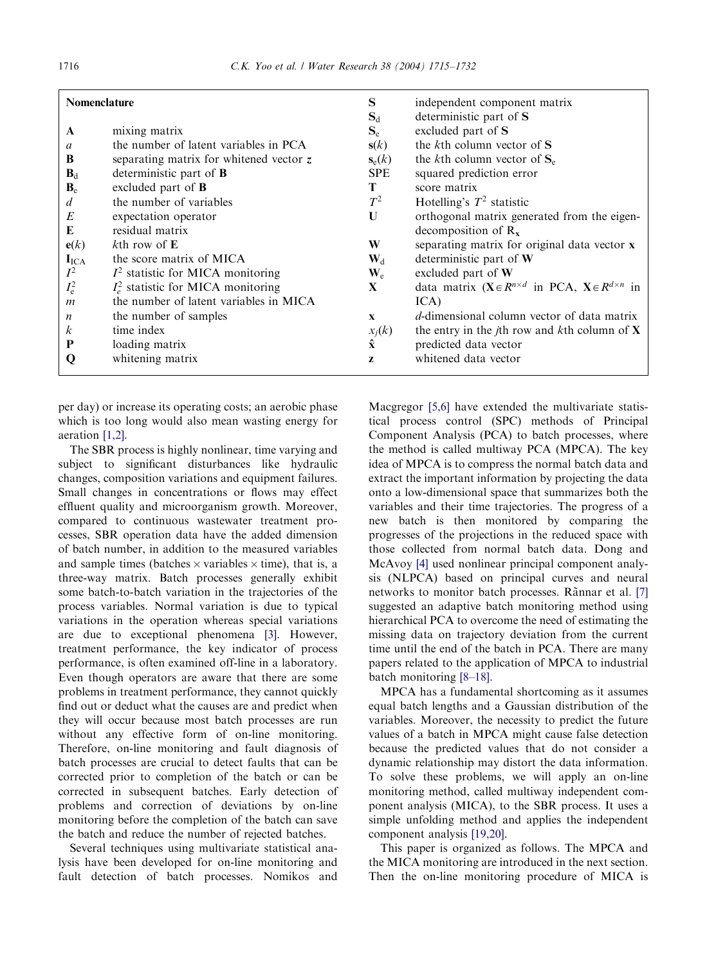| <b>Nomenclature</b> |                                         | S                         | independent component matrix                                                            |  |
|---------------------|-----------------------------------------|---------------------------|-----------------------------------------------------------------------------------------|--|
|                     |                                         | $S_d$                     | deterministic part of S                                                                 |  |
| A                   | mixing matrix                           | $S_{e}$                   | excluded part of S                                                                      |  |
| a                   | the number of latent variables in PCA   | s(k)                      | the $k$ th column vector of $S$                                                         |  |
| B                   | separating matrix for whitened vector z | $\mathbf{s}_e(k)$         | the kth column vector of $S_e$                                                          |  |
| $B_d$               | deterministic part of <b>B</b>          | <b>SPE</b>                | squared prediction error                                                                |  |
| $B_{\rm e}$         | excluded part of $\bf{B}$               | T                         | score matrix                                                                            |  |
| d                   | the number of variables                 | $T^2$                     | Hotelling's $T^2$ statistic                                                             |  |
| E                   | expectation operator                    | U                         | orthogonal matrix generated from the eigen-                                             |  |
| E                   | residual matrix                         |                           | decomposition of $R_x$                                                                  |  |
| e(k)                | $k$ th row of $E$                       | W                         | separating matrix for original data vector x                                            |  |
| $I_{\text{ICA}}$    | the score matrix of MICA                | $\mathbf{W}_{d}$          | deterministic part of W                                                                 |  |
| $I^2$               | $I2$ statistic for MICA monitoring      | $\mathbf{W}_{\mathrm{e}}$ | excluded part of $W$                                                                    |  |
| $I_{\rm e}^2$       | $Ie2$ statistic for MICA monitoring     | X                         | data matrix $(\mathbf{X} \in R^{n \times d}$ in PCA, $\mathbf{X} \in R^{d \times n}$ in |  |
| $\boldsymbol{m}$    | the number of latent variables in MICA  |                           | ICA)                                                                                    |  |
| $\boldsymbol{n}$    | the number of samples                   | $\mathbf{x}$              | d-dimensional column vector of data matrix                                              |  |
| $\boldsymbol{k}$    | time index                              | $x_i(k)$                  | the entry in the <i>j</i> th row and <i>k</i> th column of <b>X</b>                     |  |
| P                   | loading matrix                          | $\hat{\mathbf{x}}$        | predicted data vector                                                                   |  |
| Q                   | whitening matrix                        | Z                         | whitened data vector                                                                    |  |
|                     |                                         |                           |                                                                                         |  |

per day) or increase its operating costs; an aerobic phase which is too long would also mean wasting energy for aeration [\[1,2\].](#page-17-0)

The SBR process is highly nonlinear, time varying and subject to significant disturbances like hydraulic changes, composition variations and equipment failures. Small changes in concentrations or flows may effect effluent quality and microorganism growth. Moreover, compared to continuous wastewater treatment processes, SBR operation data have the added dimension of batch number, in addition to the measured variables and sample times (batches  $\times$  variables  $\times$  time), that is, a three-way matrix. Batch processes generally exhibit some batch-to-batch variation in the trajectories of the process variables. Normal variation is due to typical variations in the operation whereas special variations are due to exceptional phenomena [\[3\]](#page-17-0). However, treatment performance, the key indicator of process performance, is often examined off-line in a laboratory. Even though operators are aware that there are some problems in treatment performance, they cannot quickly find out or deduct what the causes are and predict when they will occur because most batch processes are run without any effective form of on-line monitoring. Therefore, on-line monitoring and fault diagnosis of batch processes are crucial to detect faults that can be corrected prior to completion of the batch or can be corrected in subsequent batches. Early detection of problems and correction of deviations by on-line monitoring before the completion of the batch can save the batch and reduce the number of rejected batches.

Several techniques using multivariate statistical analysis have been developed for on-line monitoring and fault detection of batch processes. Nomikos and

Macgregor [\[5,6\]](#page-17-0) have extended the multivariate statistical process control (SPC) methods of Principal Component Analysis (PCA) to batch processes, where the method is called multiway PCA (MPCA). The key idea of MPCA is to compress the normal batch data and extract the important information by projecting the data onto a low-dimensional space that summarizes both the variables and their time trajectories. The progress of a new batch is then monitored by comparing the progresses of the projections in the reduced space with those collected from normal batch data. Dong and McAvoy [\[4\]](#page-17-0) used nonlinear principal component analysis (NLPCA) based on principal curves and neural networks to monitor batch processes. Rãnnar et al. [\[7\]](#page-17-0) suggested an adaptive batch monitoring method using hierarchical PCA to overcome the need of estimating the missing data on trajectory deviation from the current time until the end of the batch in PCA. There are many papers related to the application of MPCA to industrial batch monitoring [\[8–18\].](#page-17-0)

MPCA has a fundamental shortcoming as it assumes equal batch lengths and a Gaussian distribution of the variables. Moreover, the necessity to predict the future values of a batch in MPCA might cause false detection because the predicted values that do not consider a dynamic relationship may distort the data information. To solve these problems, we will apply an on-line monitoring method, called multiway independent component analysis (MICA), to the SBR process. It uses a simple unfolding method and applies the independent component analysis [\[19,20\]](#page-17-0).

This paper is organized as follows. The MPCA and the MICA monitoring are introduced in the next section. Then the on-line monitoring procedure of MICA is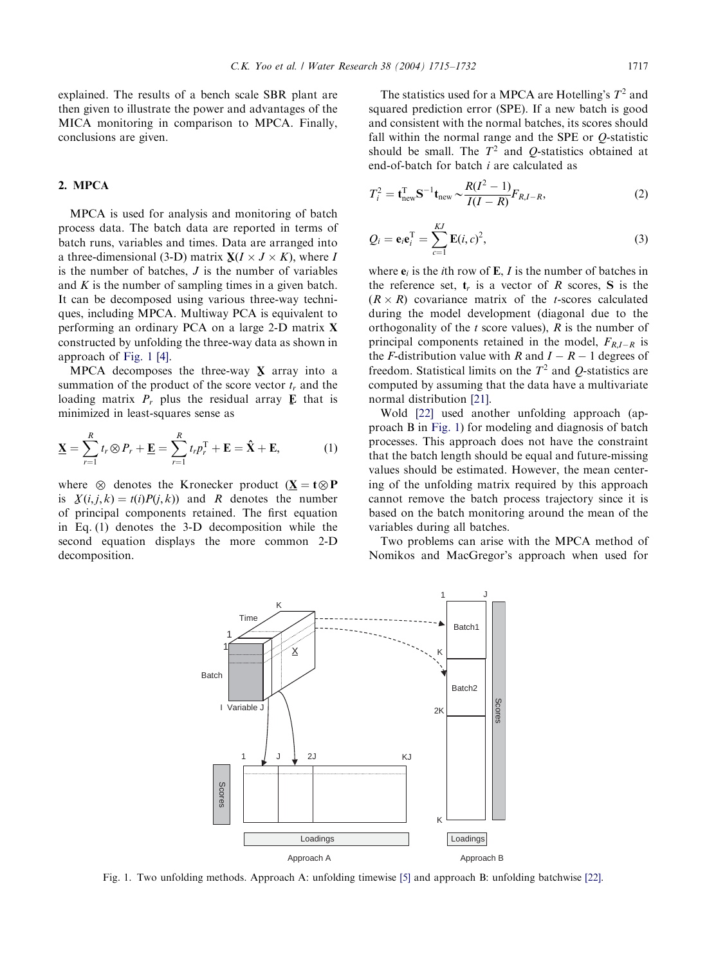explained. The results of a bench scale SBR plant are then given to illustrate the power and advantages of the MICA monitoring in comparison to MPCA. Finally, conclusions are given.

# 2. MPCA

MPCA is used for analysis and monitoring of batch process data. The batch data are reported in terms of batch runs, variables and times. Data are arranged into a three-dimensional (3-D) matrix  $X(I \times J \times K)$ , where I<br>is the number of batches. I is the number of variables is the number of batches,  $J$  is the number of variables and  $K$  is the number of sampling times in a given batch. It can be decomposed using various three-way techniques, including MPCA. Multiway PCA is equivalent to performing an ordinary PCA on a large 2-D matrix X constructed by unfolding the three-way data as shown in approach of Fig. 1 [\[4\].](#page-17-0)

MPCA decomposes the three-way  $\bf{X}$  array into a munition of the product of the score vector t, and the summation of the product of the score vector  $t_r$  and the loading matrix  $P_r$  plus the residual array  $\bf{E}$  that is minimized in least squares sense as minimized in least-squares sense as

$$
\underline{\mathbf{X}} = \sum_{r=1}^{R} t_r \otimes P_r + \underline{\mathbf{E}} = \sum_{r=1}^{R} t_r p_r^{\mathrm{T}} + \mathbf{E} = \hat{\mathbf{X}} + \mathbf{E}, \tag{1}
$$

where  $\otimes$  denotes the Kronecker product  $(X = t \otimes P)$ is  $X(i, j, k) = t(i)P(j, k)$  and R denotes the number<br>of principal components ratained. The first equation of principal components retained. The first equation in Eq. (1) denotes the 3-D decomposition while the second equation displays the more common 2-D decomposition.

The statistics used for a MPCA are Hotelling's  $T^2$  and squared prediction error (SPE). If a new batch is good and consistent with the normal batches, its scores should fall within the normal range and the SPE or Q-statistic should be small. The  $T^2$  and Q-statistics obtained at end-of-batch for batch i are calculated as

$$
T_i^2 = \mathbf{t}_{\text{new}}^{\text{T}} \mathbf{S}^{-1} \mathbf{t}_{\text{new}} \sim \frac{R(I^2 - 1)}{I(I - R)} F_{R, I - R},\tag{2}
$$

$$
Q_i = \mathbf{e}_i \mathbf{e}_i^{\mathrm{T}} = \sum_{c=1}^{KJ} \mathbf{E}(i, c)^2,
$$
 (3)

where  $e_i$  is the *i*th row of **E**, *I* is the number of batches in the reference set,  $t_r$  is a vector of R scores, S is the  $(R \times R)$  covariance matrix of the *t*-scores calculated during the model development (diagonal due to the orthogonality of the  $t$  score values),  $R$  is the number of principal components retained in the model,  $F_{R,I-R}$  is the *F*-distribution value with *R* and  $I - R - 1$  degrees of freedom. Statistical limits on the  $T<sup>2</sup>$  and O-statistics are computed by assuming that the data have a multivariate normal distribution [\[21\]](#page-17-0).

Wold [\[22\]](#page-17-0) used another unfolding approach (approach B in Fig. 1) for modeling and diagnosis of batch processes. This approach does not have the constraint that the batch length should be equal and future-missing values should be estimated. However, the mean centering of the unfolding matrix required by this approach cannot remove the batch process trajectory since it is based on the batch monitoring around the mean of the variables during all batches.

Two problems can arise with the MPCA method of Nomikos and MacGregor's approach when used for



Fig. 1. Two unfolding methods. Approach A: unfolding timewise [\[5\]](#page-17-0) and approach B: unfolding batchwise [\[22\].](#page-17-0)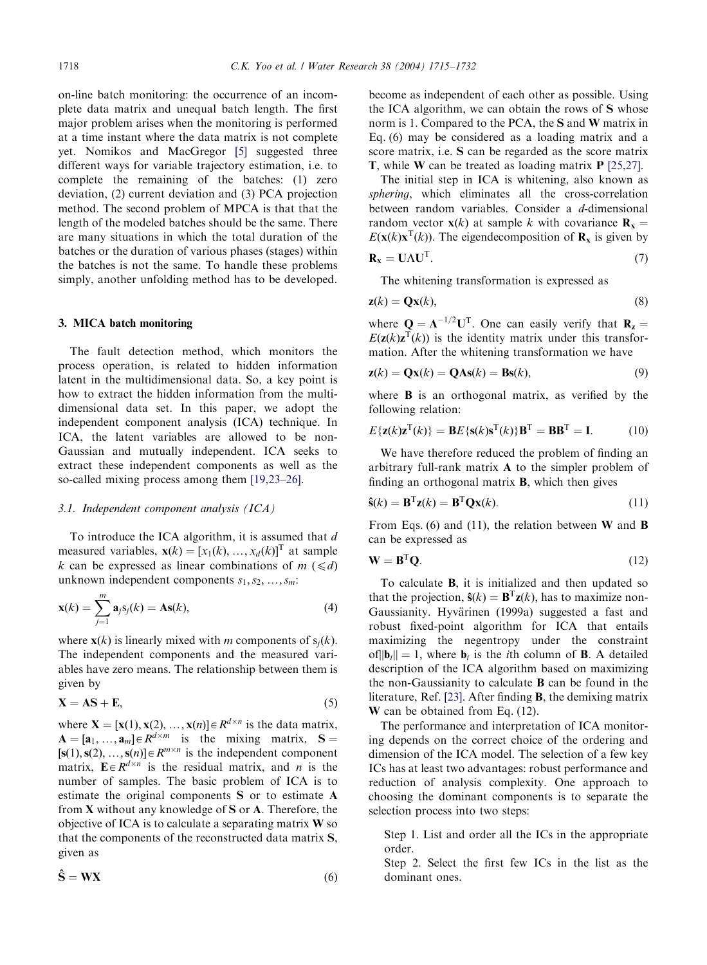on-line batch monitoring: the occurrence of an incomplete data matrix and unequal batch length. The first major problem arises when the monitoring is performed at a time instant where the data matrix is not complete yet. Nomikos and MacGregor [\[5\]](#page-17-0) suggested three different ways for variable trajectory estimation, i.e. to complete the remaining of the batches: (1) zero deviation, (2) current deviation and (3) PCA projection method. The second problem of MPCA is that that the length of the modeled batches should be the same. There are many situations in which the total duration of the batches or the duration of various phases (stages) within the batches is not the same. To handle these problems simply, another unfolding method has to be developed.

## 3. MICA batch monitoring

The fault detection method, which monitors the process operation, is related to hidden information latent in the multidimensional data. So, a key point is how to extract the hidden information from the multidimensional data set. In this paper, we adopt the independent component analysis (ICA) technique. In ICA, the latent variables are allowed to be non-Gaussian and mutually independent. ICA seeks to extract these independent components as well as the so-called mixing process among them [\[19,23–26\].](#page-17-0)

## 3.1. Independent component analysis (ICA)

To introduce the ICA algorithm, it is assumed that  $d$ measured variables,  $\mathbf{x}(k) = [x_1(k), ..., x_d(k)]^T$  at sample k can be expressed as linear combinations of  $m$  ( $\leq d$ ) unknown independent components  $s_1, s_2, \ldots, s_m$ :

$$
\mathbf{x}(k) = \sum_{j=1}^{m} \mathbf{a}_j s_j(k) = \mathbf{A}\mathbf{s}(k),\tag{4}
$$

where  $\mathbf{x}(k)$  is linearly mixed with *m* components of  $s_i(k)$ . The independent components and the measured variables have zero means. The relationship between them is given by

$$
X = AS + E, \tag{5}
$$

where  $X = [x(1), x(2), ..., x(n)] \in R^{d \times n}$  is the data matrix,  $A = [a_1, ..., a_m] \in R^{d \times m}$  is the mixing matrix,  $S =$  $[s(1), s(2), ..., s(n)] \in R^{m \times n}$  is the independent component matrix,  $\mathbf{E} \in \mathbb{R}^{d \times n}$  is the residual matrix, and *n* is the number of samples. The basic problem of ICA is to estimate the original components S or to estimate A from X without any knowledge of S or A. Therefore, the objective of ICA is to calculate a separating matrix W so that the components of the reconstructed data matrix S, given as

$$
\hat{\mathbf{S}} = \mathbf{W}\mathbf{X} \tag{6}
$$

become as independent of each other as possible. Using the ICA algorithm, we can obtain the rows of S whose norm is 1. Compared to the PCA, the S and W matrix in Eq. (6) may be considered as a loading matrix and a score matrix, i.e. S can be regarded as the score matrix T, while W can be treated as loading matrix P [\[25,27\]](#page-17-0).

The initial step in ICA is whitening, also known as sphering, which eliminates all the cross-correlation between random variables. Consider a d-dimensional random vector  $\mathbf{x}(k)$  at sample k with covariance  $\mathbf{R}_{\mathbf{x}} =$  $E(\mathbf{x}(k)\mathbf{x}^{\mathrm{T}}(k))$ . The eigendecomposition of  $\mathbf{R}_{\mathbf{x}}$  is given by

$$
\mathbf{R}_{\mathbf{x}} = \mathbf{U}\Lambda\mathbf{U}^{\mathrm{T}}.\tag{7}
$$

The whitening transformation is expressed as

$$
\mathbf{z}(k) = \mathbf{Q}\mathbf{x}(k),\tag{8}
$$

where  $\mathbf{Q} = \mathbf{\Lambda}^{-1/2} \mathbf{U}^{\mathrm{T}}$ . One can easily verify that  $\mathbf{R}_{z} =$  $E(\mathbf{z}(k)\mathbf{z}^{\mathrm{T}}(k))$  is the identity matrix under this transformation. After the whitening transformation we have

$$
\mathbf{z}(k) = \mathbf{Q}\mathbf{x}(k) = \mathbf{Q}\mathbf{A}\mathbf{s}(k) = \mathbf{B}\mathbf{s}(k),\tag{9}
$$

where **B** is an orthogonal matrix, as verified by the following relation:

$$
E\{\mathbf{z}(k)\mathbf{z}^{\mathrm{T}}(k)\} = \mathbf{B}E\{\mathbf{s}(k)\mathbf{s}^{\mathrm{T}}(k)\}\mathbf{B}^{\mathrm{T}} = \mathbf{B}\mathbf{B}^{\mathrm{T}} = \mathbf{I}.\tag{10}
$$

We have therefore reduced the problem of finding an arbitrary full-rank matrix A to the simpler problem of finding an orthogonal matrix B, which then gives

$$
\hat{\mathbf{s}}(k) = \mathbf{B}^{\mathrm{T}} \mathbf{z}(k) = \mathbf{B}^{\mathrm{T}} \mathbf{Q} \mathbf{x}(k).
$$
 (11)

From Eqs. (6) and (11), the relation between  $W$  and  $B$ can be expressed as

$$
\mathbf{W} = \mathbf{B}^{\mathrm{T}} \mathbf{Q}.
$$
 (12)

To calculate B, it is initialized and then updated so that the projection,  $\hat{\mathbf{s}}(k) = \mathbf{B}^T \mathbf{z}(k)$ , has to maximize non-Gaussianity. Hyvärinen (1999a) suggested a fast and robust fixed-point algorithm for ICA that entails maximizing the negentropy under the constraint of $||\mathbf{b}_i|| = 1$ , where  $\mathbf{b}_i$  is the *i*th column of **B**. A detailed description of the ICA algorithm based on maximizing the non-Gaussianity to calculate B can be found in the literature, Ref. [\[23\].](#page-17-0) After finding B, the demixing matrix W can be obtained from Eq. (12).

The performance and interpretation of ICA monitoring depends on the correct choice of the ordering and dimension of the ICA model. The selection of a few key ICs has at least two advantages: robust performance and reduction of analysis complexity. One approach to choosing the dominant components is to separate the selection process into two steps:

Step 1. List and order all the ICs in the appropriate order.

Step 2. Select the first few ICs in the list as the dominant ones.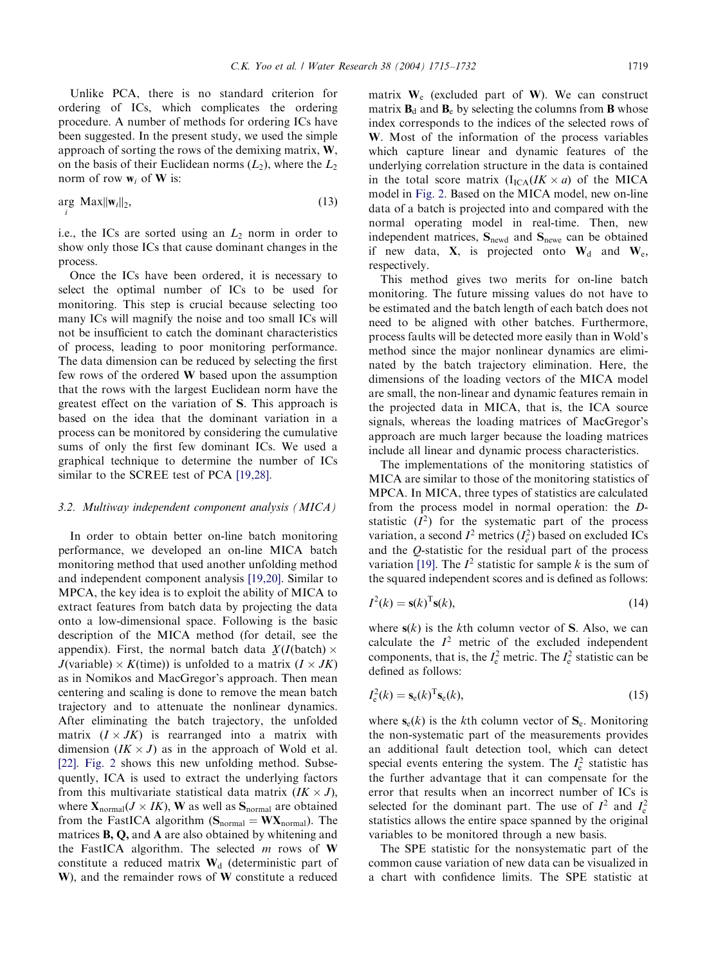Unlike PCA, there is no standard criterion for ordering of ICs, which complicates the ordering procedure. A number of methods for ordering ICs have been suggested. In the present study, we used the simple approach of sorting the rows of the demixing matrix,  $W$ , on the basis of their Euclidean norms  $(L_2)$ , where the  $L_2$ norm of row  $w_i$  of **W** is:

$$
\underset{i}{\arg \, \, \text{Max}} ||\mathbf{w}_i||_2, \tag{13}
$$

i.e., the ICs are sorted using an  $L_2$  norm in order to show only those ICs that cause dominant changes in the process.

Once the ICs have been ordered, it is necessary to select the optimal number of ICs to be used for monitoring. This step is crucial because selecting too many ICs will magnify the noise and too small ICs will not be insufficient to catch the dominant characteristics of process, leading to poor monitoring performance. The data dimension can be reduced by selecting the first few rows of the ordered W based upon the assumption that the rows with the largest Euclidean norm have the greatest effect on the variation of S. This approach is based on the idea that the dominant variation in a process can be monitored by considering the cumulative sums of only the first few dominant ICs. We used a graphical technique to determine the number of ICs similar to the SCREE test of PCA [\[19,28\]](#page-17-0).

## 3.2. Multiway independent component analysis (MICA)

In order to obtain better on-line batch monitoring performance, we developed an on-line MICA batch monitoring method that used another unfolding method and independent component analysis [\[19,20\]](#page-17-0). Similar to MPCA, the key idea is to exploit the ability of MICA to extract features from batch data by projecting the data onto a low-dimensional space. Following is the basic description of the MICA method (for detail, see the appendix). First, the normal batch data  $X(I(\text{batch}) \times I(\text{train}))$  is unfolded to a matrix  $(I \times IV)$ J(variable)  $\times K$ (time)) is unfolded to a matrix ( $I \times JK$ ) as in Nomikos and MacGregor's approach. Then mean centering and scaling is done to remove the mean batch trajectory and to attenuate the nonlinear dynamics. After eliminating the batch trajectory, the unfolded matrix  $(I \times JK)$  is rearranged into a matrix with dimension  $(IK \times J)$  as in the approach of Wold et al. [\[22\].](#page-17-0) [Fig. 2](#page-5-0) shows this new unfolding method. Subsequently, ICA is used to extract the underlying factors from this multivariate statistical data matrix  $(IK \times J)$ , where  $X_{normal}(J \times IK)$ , W as well as  $S_{normal}$  are obtained from the FastICA algorithm  $(S_{normal} = W X_{normal})$ . The matrices B, Q, and A are also obtained by whitening and the FastICA algorithm. The selected  $m$  rows of W constitute a reduced matrix  $W_d$  (deterministic part of W), and the remainder rows of W constitute a reduced

matrix  $W_e$  (excluded part of W). We can construct matrix  $\mathbf{B}_d$  and  $\mathbf{B}_e$  by selecting the columns from **B** whose index corresponds to the indices of the selected rows of W. Most of the information of the process variables which capture linear and dynamic features of the underlying correlation structure in the data is contained in the total score matrix  $(I_{\text{ICA}}/IK \times a)$  of the MICA model in [Fig. 2.](#page-5-0) Based on the MICA model, new on-line data of a batch is projected into and compared with the normal operating model in real-time. Then, new independent matrices, S<sub>newd</sub> and S<sub>newe</sub> can be obtained if new data,  $X$ , is projected onto  $W_d$  and  $W_e$ , respectively.

This method gives two merits for on-line batch monitoring. The future missing values do not have to be estimated and the batch length of each batch does not need to be aligned with other batches. Furthermore, process faults will be detected more easily than in Wold's method since the major nonlinear dynamics are eliminated by the batch trajectory elimination. Here, the dimensions of the loading vectors of the MICA model are small, the non-linear and dynamic features remain in the projected data in MICA, that is, the ICA source signals, whereas the loading matrices of MacGregor's approach are much larger because the loading matrices include all linear and dynamic process characteristics.

The implementations of the monitoring statistics of MICA are similar to those of the monitoring statistics of MPCA. In MICA, three types of statistics are calculated from the process model in normal operation: the Dstatistic  $(I^2)$  for the systematic part of the process variation, a second  $I^2$  metrics  $(I_e^2)$  based on excluded ICs and the Q-statistic for the residual part of the process variation [\[19\].](#page-17-0) The  $I^2$  statistic for sample k is the sum of the squared independent scores and is defined as follows:

$$
I^2(k) = \mathbf{s}(k)^{\mathrm{T}} \mathbf{s}(k),\tag{14}
$$

where  $s(k)$  is the kth column vector of S. Also, we can calculate the  $I^2$  metric of the excluded independent components, that is, the  $I_e^2$  metric. The  $I_e^2$  statistic can be defined as follows:

$$
I_{\rm e}^2(k) = \mathbf{s}_{\rm e}(k)^{\rm T} \mathbf{s}_{\rm e}(k),\tag{15}
$$

where  $s_e(k)$  is the kth column vector of  $S_e$ . Monitoring the non-systematic part of the measurements provides an additional fault detection tool, which can detect special events entering the system. The  $I_e^2$  statistic has the further advantage that it can compensate for the error that results when an incorrect number of ICs is selected for the dominant part. The use of  $I^2$  and  $I_e^2$ statistics allows the entire space spanned by the original variables to be monitored through a new basis.

The SPE statistic for the nonsystematic part of the common cause variation of new data can be visualized in a chart with confidence limits. The SPE statistic at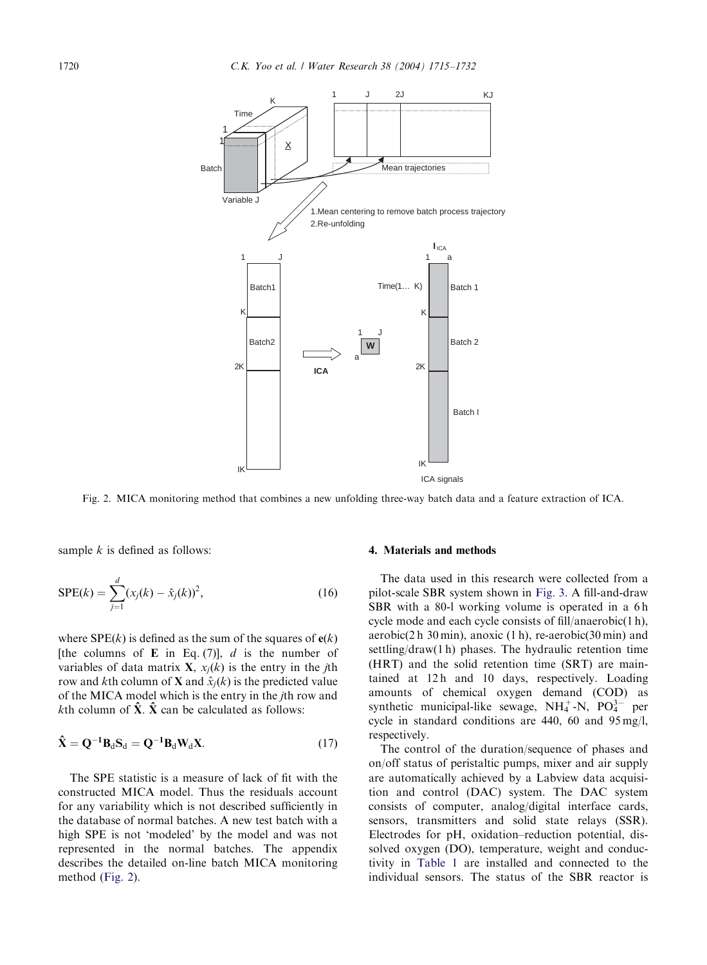<span id="page-5-0"></span>

Fig. 2. MICA monitoring method that combines a new unfolding three-way batch data and a feature extraction of ICA.

sample  $k$  is defined as follows:

$$
SPE(k) = \sum_{j=1}^{d} (x_j(k) - \hat{x}_j(k))^2,
$$
 (16)

where  $SPE(k)$  is defined as the sum of the squares of  $e(k)$ [the columns of **E** in Eq. (7)],  $d$  is the number of variables of data matrix **X**,  $x_i(k)$  is the entry in the *j*th row and kth column of **X** and  $\hat{x}_i(k)$  is the predicted value of the MICA model which is the entry in the jth row and kth column of  $\hat{\mathbf{X}}$ .  $\hat{\mathbf{X}}$  can be calculated as follows:

$$
\hat{\mathbf{X}} = \mathbf{Q}^{-1} \mathbf{B}_d \mathbf{S}_d = \mathbf{Q}^{-1} \mathbf{B}_d \mathbf{W}_d \mathbf{X}.
$$
 (17)

The SPE statistic is a measure of lack of fit with the constructed MICA model. Thus the residuals account for any variability which is not described sufficiently in the database of normal batches. A new test batch with a high SPE is not 'modeled' by the model and was not represented in the normal batches. The appendix describes the detailed on-line batch MICA monitoring method (Fig. 2).

## 4. Materials and methods

The data used in this research were collected from a pilot-scale SBR system shown in [Fig. 3.](#page-6-0) A fill-and-draw SBR with a 80-l working volume is operated in a 6h cycle mode and each cycle consists of fill/anaerobic(1 h), aerobic(2 h 30 min), anoxic (1 h), re-aerobic(30 min) and settling/draw(1 h) phases. The hydraulic retention time (HRT) and the solid retention time (SRT) are maintained at 12 h and 10 days, respectively. Loading amounts of chemical oxygen demand (COD) as synthetic municipal-like sewage,  $NH_4^+$ -N,  $PO_4^{3-}$  per cycle in standard conditions are 440, 60 and 95 mg/l, respectively.

The control of the duration/sequence of phases and on/off status of peristaltic pumps, mixer and air supply are automatically achieved by a Labview data acquisition and control (DAC) system. The DAC system consists of computer, analog/digital interface cards, sensors, transmitters and solid state relays (SSR). Electrodes for pH, oxidation–reduction potential, dissolved oxygen (DO), temperature, weight and conductivity in [Table 1](#page-7-0) are installed and connected to the individual sensors. The status of the SBR reactor is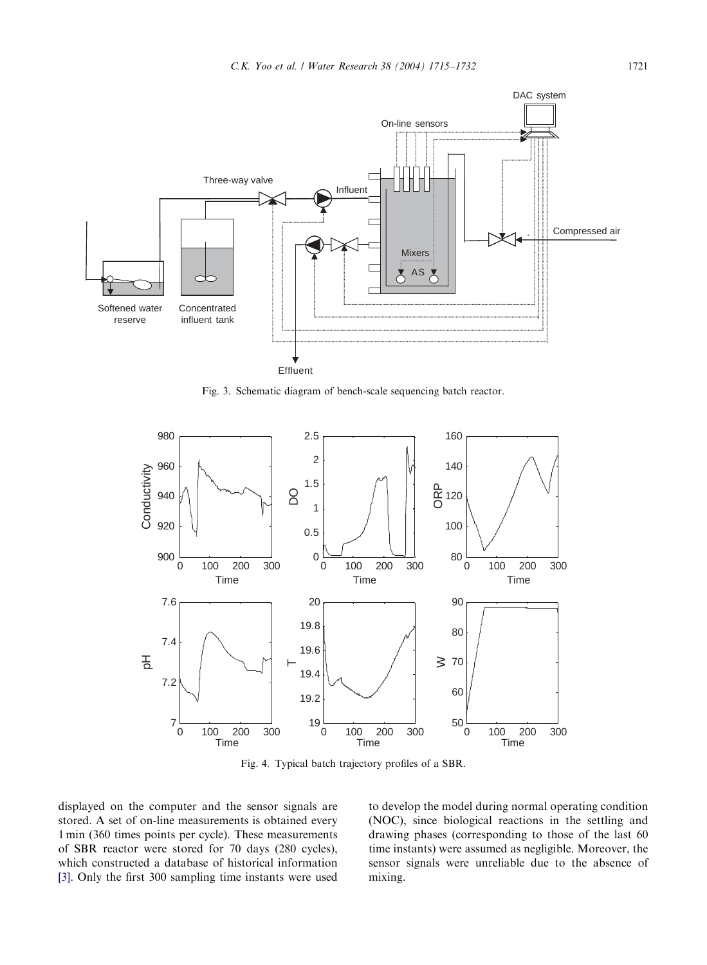<span id="page-6-0"></span>

Fig. 3. Schematic diagram of bench-scale sequencing batch reactor.



Fig. 4. Typical batch trajectory profiles of a SBR.

displayed on the computer and the sensor signals are stored. A set of on-line measurements is obtained every 1 min (360 times points per cycle). These measurements of SBR reactor were stored for 70 days (280 cycles), which constructed a database of historical information [\[3\]](#page-17-0). Only the first 300 sampling time instants were used

to develop the model during normal operating condition (NOC), since biological reactions in the settling and drawing phases (corresponding to those of the last 60 time instants) were assumed as negligible. Moreover, the sensor signals were unreliable due to the absence of mixing.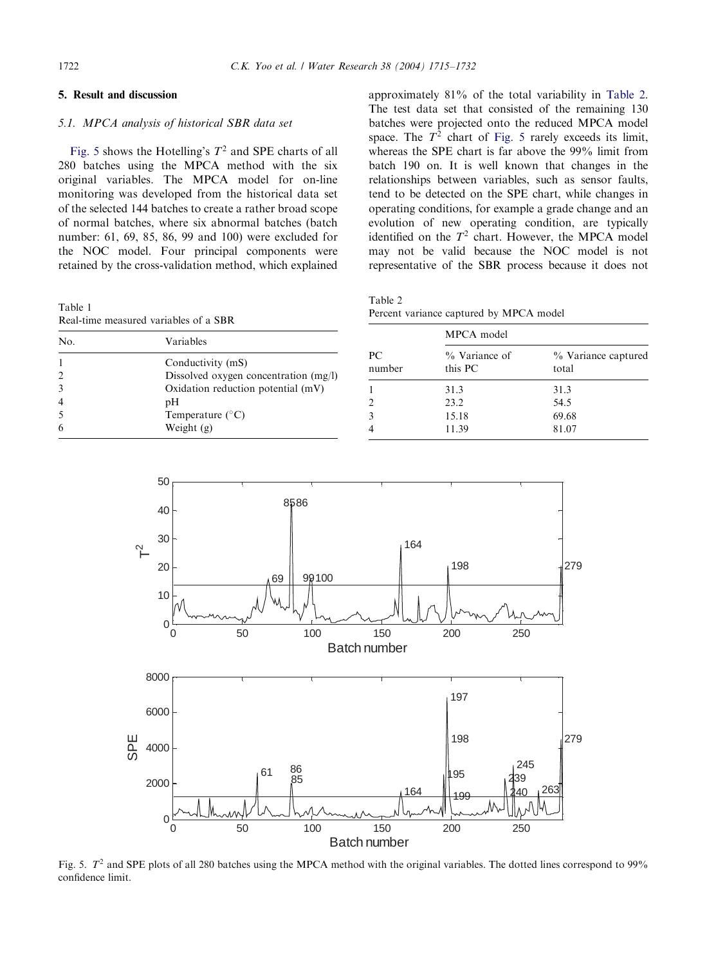# <span id="page-7-0"></span>5. Result and discussion

# 5.1. MPCA analysis of historical SBR data set

Fig. 5 shows the Hotelling's  $T^2$  and SPE charts of all 280 batches using the MPCA method with the six original variables. The MPCA model for on-line monitoring was developed from the historical data set of the selected 144 batches to create a rather broad scope of normal batches, where six abnormal batches (batch number: 61, 69, 85, 86, 99 and 100) were excluded for the NOC model. Four principal components were retained by the cross-validation method, which explained

Table 1 Real-time measured variables of a SBR

approximately 81% of the total variability in Table 2. The test data set that consisted of the remaining 130 batches were projected onto the reduced MPCA model space. The  $T^2$  chart of Fig. 5 rarely exceeds its limit, whereas the SPE chart is far above the 99% limit from batch 190 on. It is well known that changes in the relationships between variables, such as sensor faults, tend to be detected on the SPE chart, while changes in operating conditions, for example a grade change and an evolution of new operating condition, are typically identified on the  $T^2$  chart. However, the MPCA model may not be valid because the NOC model is not representative of the SBR process because it does not

Table 2 Percent variance captured by MPCA model

| Real-time measured variables of a SDR |                                                              |              |                          |                              |  |
|---------------------------------------|--------------------------------------------------------------|--------------|--------------------------|------------------------------|--|
| No.                                   | Variables                                                    |              | MPCA model               |                              |  |
| 2                                     | Conductivity (mS)<br>Dissolved oxygen concentration $(mg/l)$ | PС<br>number | % Variance of<br>this PC | % Variance captured<br>total |  |
|                                       | Oxidation reduction potential $(mV)$                         |              | 31.3                     | 31.3                         |  |
| $\overline{4}$                        | pΗ                                                           |              | 23.2                     | 54.5                         |  |
|                                       | Temperature $(^{\circ}C)$                                    |              | 15.18                    | 69.68                        |  |
| 6                                     | Weight $(g)$                                                 |              | 11.39                    | 81.07                        |  |



Fig. 5.  $T^2$  and SPE plots of all 280 batches using the MPCA method with the original variables. The dotted lines correspond to 99% confidence limit.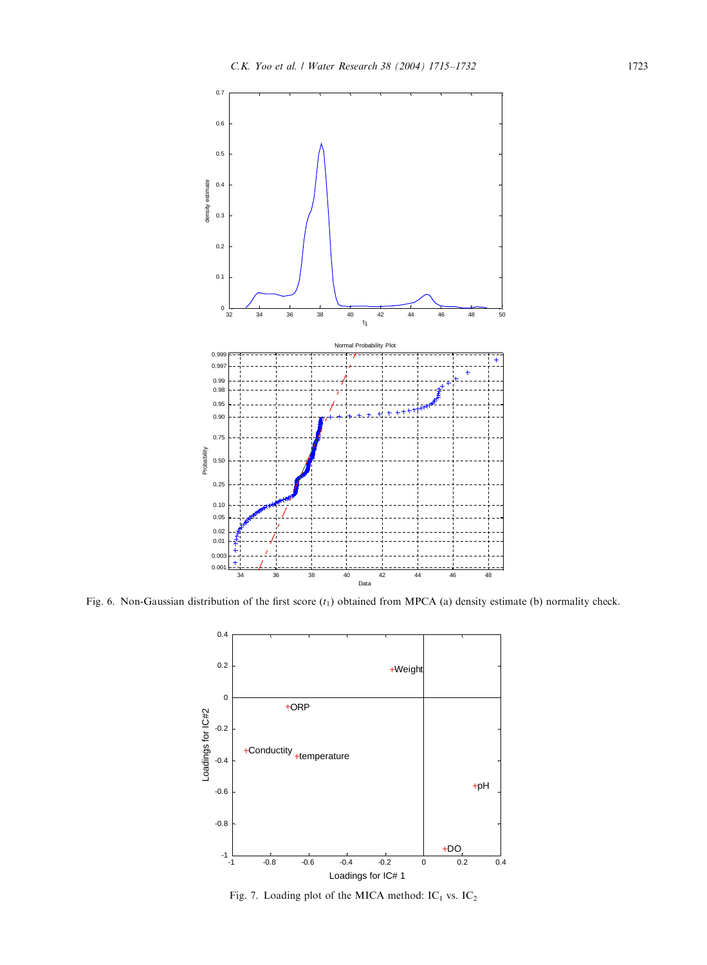<span id="page-8-0"></span>![](_page_8_Figure_1.jpeg)

Fig. 6. Non-Gaussian distribution of the first score  $(t_1)$  obtained from MPCA (a) density estimate (b) normality check.

![](_page_8_Figure_3.jpeg)

Fig. 7. Loading plot of the MICA method:  $IC_1$  vs.  $IC_2$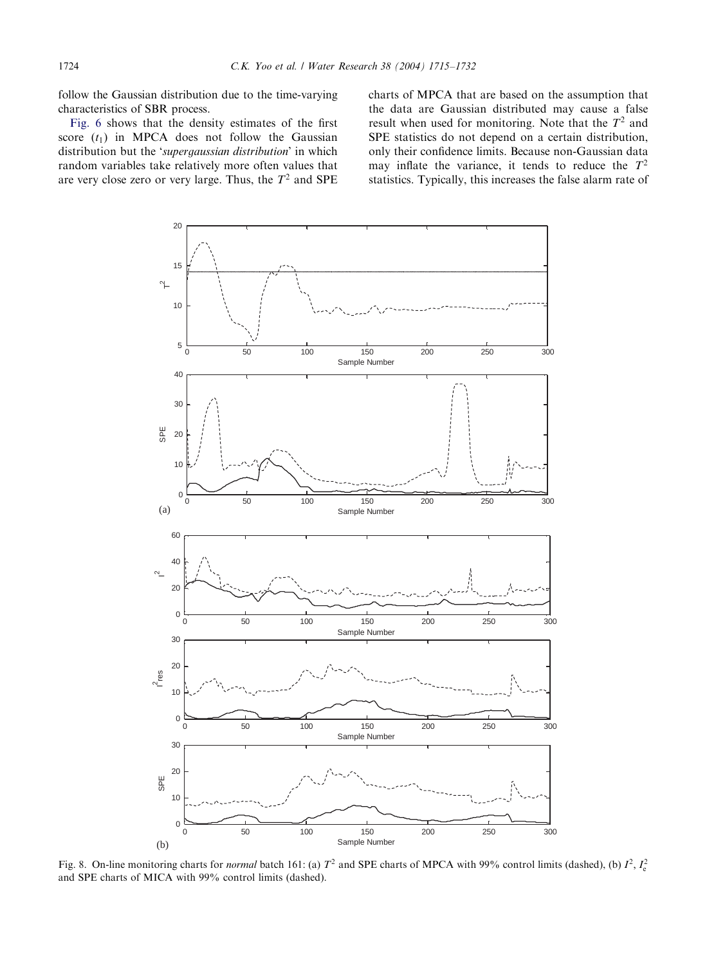<span id="page-9-0"></span>follow the Gaussian distribution due to the time-varying characteristics of SBR process.

[Fig. 6](#page-8-0) shows that the density estimates of the first score  $(t_1)$  in MPCA does not follow the Gaussian distribution but the 'supergaussian distribution' in which random variables take relatively more often values that are very close zero or very large. Thus, the  $T^2$  and SPE

charts of MPCA that are based on the assumption that the data are Gaussian distributed may cause a false result when used for monitoring. Note that the  $T^2$  and SPE statistics do not depend on a certain distribution, only their confidence limits. Because non-Gaussian data may inflate the variance, it tends to reduce the  $T^2$ statistics. Typically, this increases the false alarm rate of

![](_page_9_Figure_4.jpeg)

Fig. 8. On-line monitoring charts for *normal* batch 161: (a)  $T^2$  and SPE charts of MPCA with 99% control limits (dashed), (b)  $I^2$ ,  $I_c^2$ and SPE charts of MICA with 99% control limits (dashed).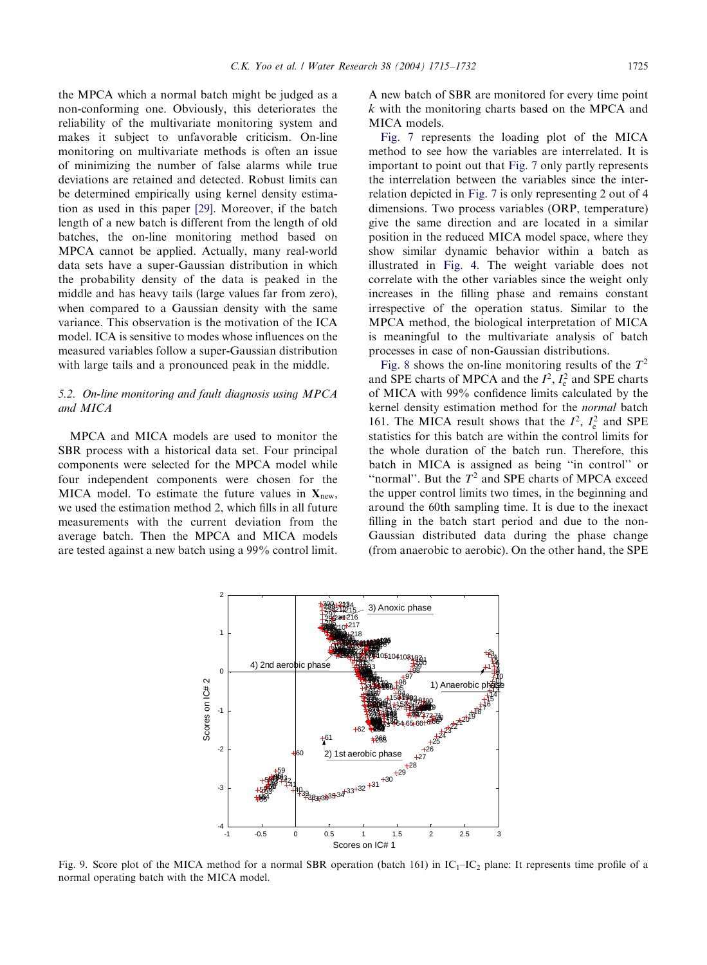<span id="page-10-0"></span>the MPCA which a normal batch might be judged as a non-conforming one. Obviously, this deteriorates the reliability of the multivariate monitoring system and makes it subject to unfavorable criticism. On-line monitoring on multivariate methods is often an issue of minimizing the number of false alarms while true deviations are retained and detected. Robust limits can be determined empirically using kernel density estimation as used in this paper [\[29\]](#page-17-0). Moreover, if the batch length of a new batch is different from the length of old batches, the on-line monitoring method based on MPCA cannot be applied. Actually, many real-world data sets have a super-Gaussian distribution in which the probability density of the data is peaked in the middle and has heavy tails (large values far from zero), when compared to a Gaussian density with the same variance. This observation is the motivation of the ICA model. ICA is sensitive to modes whose influences on the measured variables follow a super-Gaussian distribution with large tails and a pronounced peak in the middle.

# 5.2. On-line monitoring and fault diagnosis using MPCA and MICA

MPCA and MICA models are used to monitor the SBR process with a historical data set. Four principal components were selected for the MPCA model while four independent components were chosen for the MICA model. To estimate the future values in  $X_{\text{new}}$ , we used the estimation method 2, which fills in all future measurements with the current deviation from the average batch. Then the MPCA and MICA models are tested against a new batch using a 99% control limit.

A new batch of SBR are monitored for every time point  $k$  with the monitoring charts based on the MPCA and MICA models.

[Fig. 7](#page-8-0) represents the loading plot of the MICA method to see how the variables are interrelated. It is important to point out that [Fig. 7](#page-8-0) only partly represents the interrelation between the variables since the interrelation depicted in [Fig. 7](#page-8-0) is only representing 2 out of 4 dimensions. Two process variables (ORP, temperature) give the same direction and are located in a similar position in the reduced MICA model space, where they show similar dynamic behavior within a batch as illustrated in [Fig. 4.](#page-6-0) The weight variable does not correlate with the other variables since the weight only increases in the filling phase and remains constant irrespective of the operation status. Similar to the MPCA method, the biological interpretation of MICA is meaningful to the multivariate analysis of batch processes in case of non-Gaussian distributions.

[Fig. 8](#page-9-0) shows the on-line monitoring results of the  $T^2$ and SPE charts of MPCA and the  $I^2$ ,  $I_e^2$  and SPE charts of MICA with 99% confidence limits calculated by the kernel density estimation method for the normal batch 161. The MICA result shows that the  $I^2$ ,  $I_e^2$  and SPE statistics for this batch are within the control limits for the whole duration of the batch run. Therefore, this batch in MICA is assigned as being ''in control'' or "normal". But the  $T<sup>2</sup>$  and SPE charts of MPCA exceed the upper control limits two times, in the beginning and around the 60th sampling time. It is due to the inexact filling in the batch start period and due to the non-Gaussian distributed data during the phase change (from anaerobic to aerobic). On the other hand, the SPE

![](_page_10_Figure_8.jpeg)

Fig. 9. Score plot of the MICA method for a normal SBR operation (batch 161) in  $IC_1$ – $IC_2$  plane: It represents time profile of a normal operating batch with the MICA model.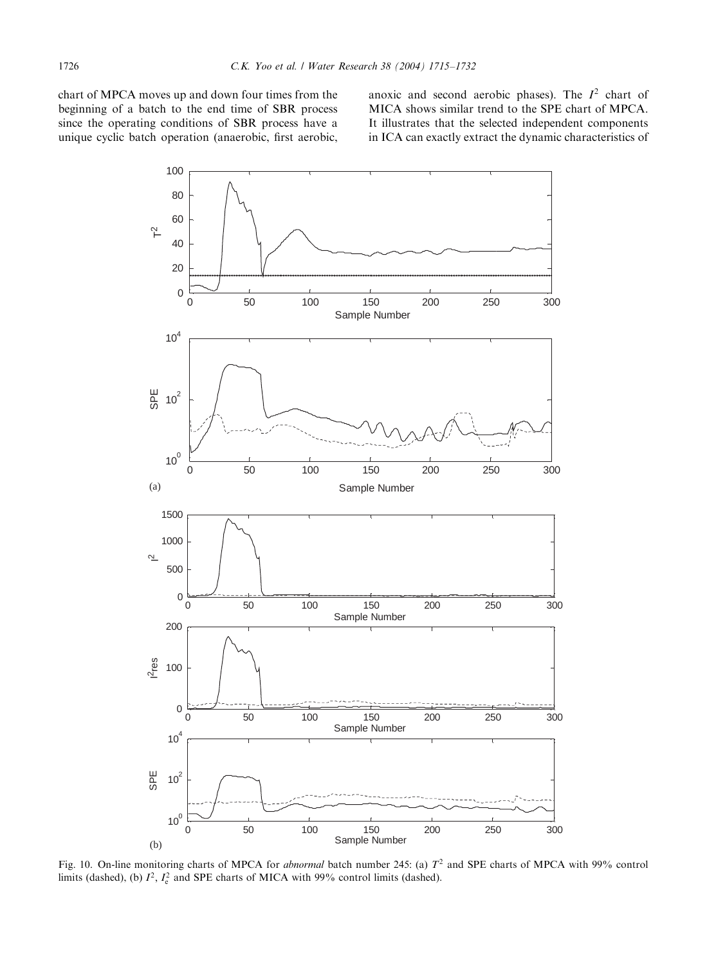<span id="page-11-0"></span>chart of MPCA moves up and down four times from the beginning of a batch to the end time of SBR process since the operating conditions of SBR process have a unique cyclic batch operation (anaerobic, first aerobic, anoxic and second aerobic phases). The  $I^2$  chart of MICA shows similar trend to the SPE chart of MPCA. It illustrates that the selected independent components in ICA can exactly extract the dynamic characteristics of

![](_page_11_Figure_3.jpeg)

Fig. 10. On-line monitoring charts of MPCA for *abnormal* batch number 245: (a)  $T^2$  and SPE charts of MPCA with 99% control limits (dashed), (b)  $I^2$ ,  $I_e^2$  and SPE charts of MICA with 99% control limits (dashed).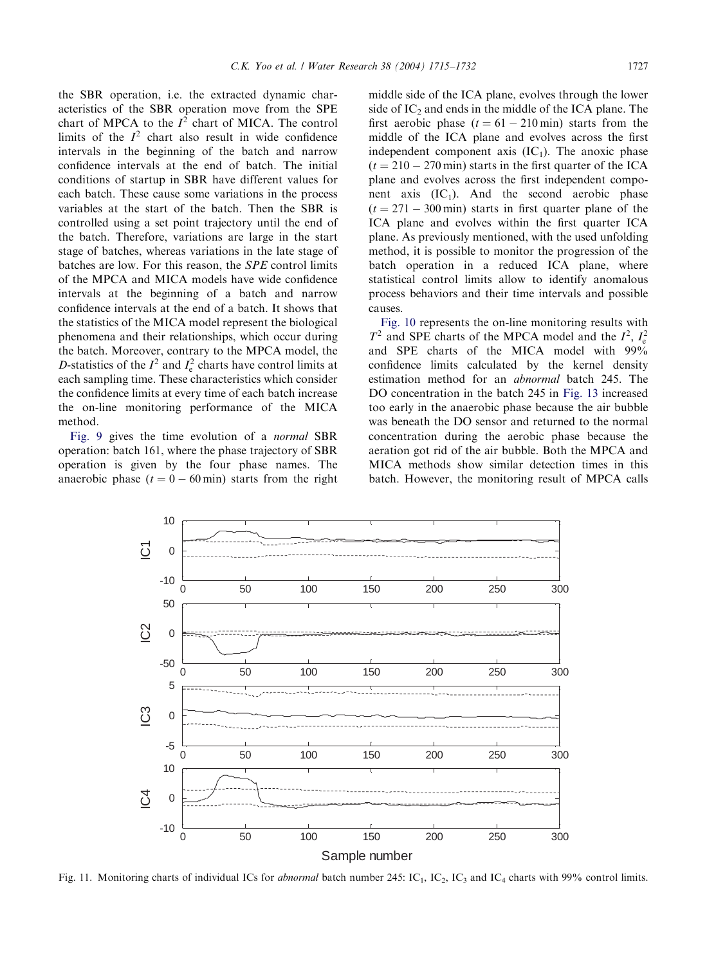<span id="page-12-0"></span>the SBR operation, i.e. the extracted dynamic characteristics of the SBR operation move from the SPE chart of MPCA to the  $I<sup>2</sup>$  chart of MICA. The control limits of the  $I<sup>2</sup>$  chart also result in wide confidence intervals in the beginning of the batch and narrow confidence intervals at the end of batch. The initial conditions of startup in SBR have different values for each batch. These cause some variations in the process variables at the start of the batch. Then the SBR is controlled using a set point trajectory until the end of the batch. Therefore, variations are large in the start stage of batches, whereas variations in the late stage of batches are low. For this reason, the SPE control limits of the MPCA and MICA models have wide confidence intervals at the beginning of a batch and narrow confidence intervals at the end of a batch. It shows that the statistics of the MICA model represent the biological phenomena and their relationships, which occur during the batch. Moreover, contrary to the MPCA model, the D-statistics of the  $I^2$  and  $I_e^2$  charts have control limits at each sampling time. These characteristics which consider the confidence limits at every time of each batch increase the on-line monitoring performance of the MICA method.

[Fig. 9](#page-10-0) gives the time evolution of a normal SBR operation: batch 161, where the phase trajectory of SBR operation is given by the four phase names. The anaerobic phase  $(t = 0 - 60 \text{ min})$  starts from the right

middle side of the ICA plane, evolves through the lower side of  $IC_2$  and ends in the middle of the ICA plane. The first aerobic phase  $(t = 61 - 210 \text{ min})$  starts from the middle of the ICA plane and evolves across the first independent component axis  $(IC_1)$ . The anoxic phase  $(t = 210 - 270$  min) starts in the first quarter of the ICA plane and evolves across the first independent component axis  $(IC_1)$ . And the second aerobic phase  $(t = 271 - 300$  min) starts in first quarter plane of the ICA plane and evolves within the first quarter ICA plane. As previously mentioned, with the used unfolding method, it is possible to monitor the progression of the batch operation in a reduced ICA plane, where statistical control limits allow to identify anomalous process behaviors and their time intervals and possible causes.

[Fig. 10](#page-11-0) represents the on-line monitoring results with  $T^2$  and SPE charts of the MPCA model and the  $I^2$ ,  $I_e^2$ and SPE charts of the MICA model with 99% confidence limits calculated by the kernel density estimation method for an abnormal batch 245. The DO concentration in the batch 245 in [Fig. 13](#page-13-0) increased too early in the anaerobic phase because the air bubble was beneath the DO sensor and returned to the normal concentration during the aerobic phase because the aeration got rid of the air bubble. Both the MPCA and MICA methods show similar detection times in this batch. However, the monitoring result of MPCA calls

![](_page_12_Figure_6.jpeg)

Fig. 11. Monitoring charts of individual ICs for abnormal batch number 245: IC<sub>1</sub>, IC<sub>2</sub>, IC<sub>3</sub> and IC<sub>4</sub> charts with 99% control limits.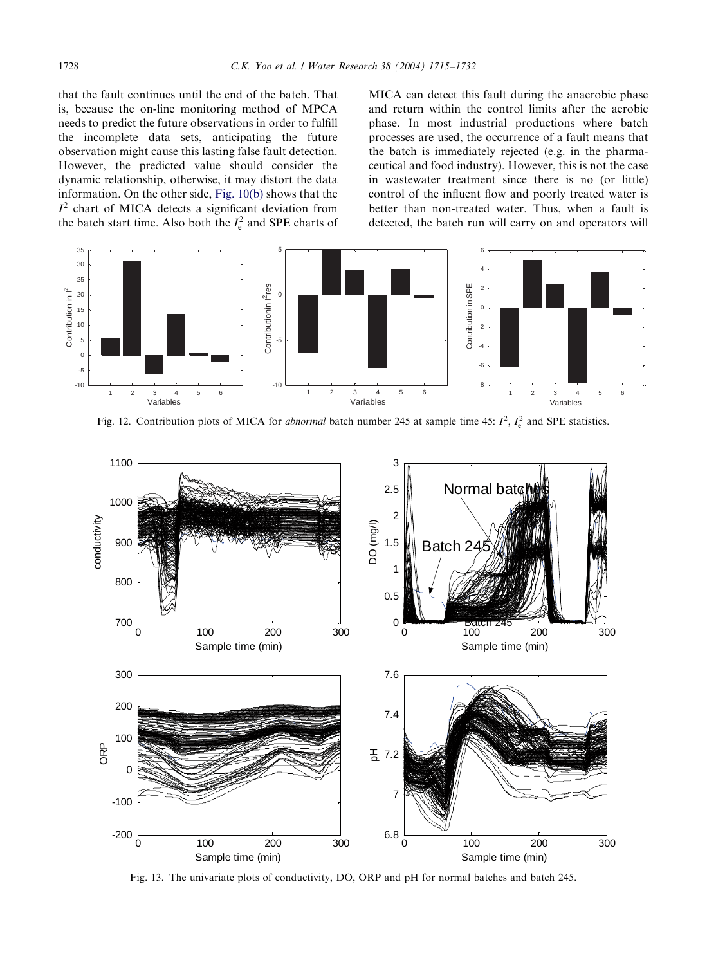<span id="page-13-0"></span>that the fault continues until the end of the batch. That is, because the on-line monitoring method of MPCA needs to predict the future observations in order to fulfill the incomplete data sets, anticipating the future observation might cause this lasting false fault detection. However, the predicted value should consider the dynamic relationship, otherwise, it may distort the data information. On the other side, [Fig. 10\(b\)](#page-11-0) shows that the  $I<sup>2</sup>$  chart of MICA detects a significant deviation from the batch start time. Also both the  $I_e^2$  and SPE charts of

MICA can detect this fault during the anaerobic phase and return within the control limits after the aerobic phase. In most industrial productions where batch processes are used, the occurrence of a fault means that the batch is immediately rejected (e.g. in the pharmaceutical and food industry). However, this is not the case in wastewater treatment since there is no (or little) control of the influent flow and poorly treated water is better than non-treated water. Thus, when a fault is detected, the batch run will carry on and operators will

![](_page_13_Figure_4.jpeg)

Fig. 12. Contribution plots of MICA for *abnormal* batch number 245 at sample time 45:  $I^2$ ,  $I_c^2$  and SPE statistics.

![](_page_13_Figure_6.jpeg)

Fig. 13. The univariate plots of conductivity, DO, ORP and pH for normal batches and batch 245.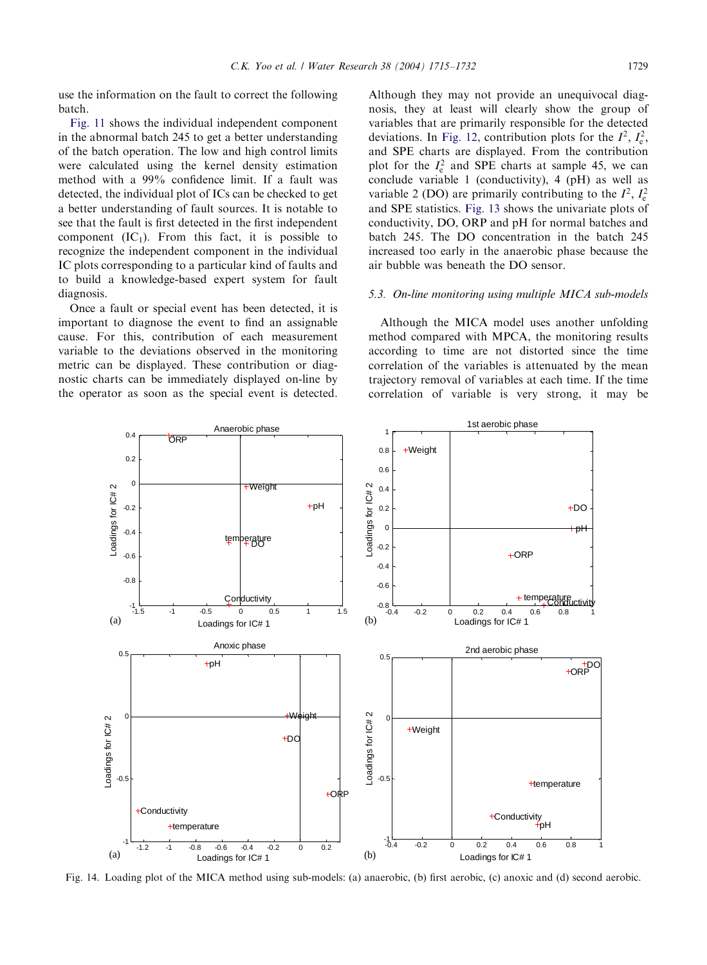<span id="page-14-0"></span>use the information on the fault to correct the following batch.

[Fig. 11](#page-12-0) shows the individual independent component in the abnormal batch 245 to get a better understanding of the batch operation. The low and high control limits were calculated using the kernel density estimation method with a 99% confidence limit. If a fault was detected, the individual plot of ICs can be checked to get a better understanding of fault sources. It is notable to see that the fault is first detected in the first independent component  $(IC_1)$ . From this fact, it is possible to recognize the independent component in the individual IC plots corresponding to a particular kind of faults and to build a knowledge-based expert system for fault diagnosis.

Once a fault or special event has been detected, it is important to diagnose the event to find an assignable cause. For this, contribution of each measurement variable to the deviations observed in the monitoring metric can be displayed. These contribution or diagnostic charts can be immediately displayed on-line by the operator as soon as the special event is detected.

Although they may not provide an unequivocal diagnosis, they at least will clearly show the group of variables that are primarily responsible for the detected deviations. In [Fig. 12,](#page-13-0) contribution plots for the  $I^2$ ,  $I_e^2$ , and SPE charts are displayed. From the contribution plot for the  $I_e^2$  and SPE charts at sample 45, we can conclude variable 1 (conductivity), 4 (pH) as well as variable 2 (DO) are primarily contributing to the  $I^2$ ,  $I_e^2$ and SPE statistics. [Fig. 13](#page-13-0) shows the univariate plots of conductivity, DO, ORP and pH for normal batches and batch 245. The DO concentration in the batch 245 increased too early in the anaerobic phase because the air bubble was beneath the DO sensor.

## 5.3. On-line monitoring using multiple MICA sub-models

Although the MICA model uses another unfolding method compared with MPCA, the monitoring results according to time are not distorted since the time correlation of the variables is attenuated by the mean trajectory removal of variables at each time. If the time correlation of variable is very strong, it may be

![](_page_14_Figure_8.jpeg)

Fig. 14. Loading plot of the MICA method using sub-models: (a) anaerobic, (b) first aerobic, (c) anoxic and (d) second aerobic.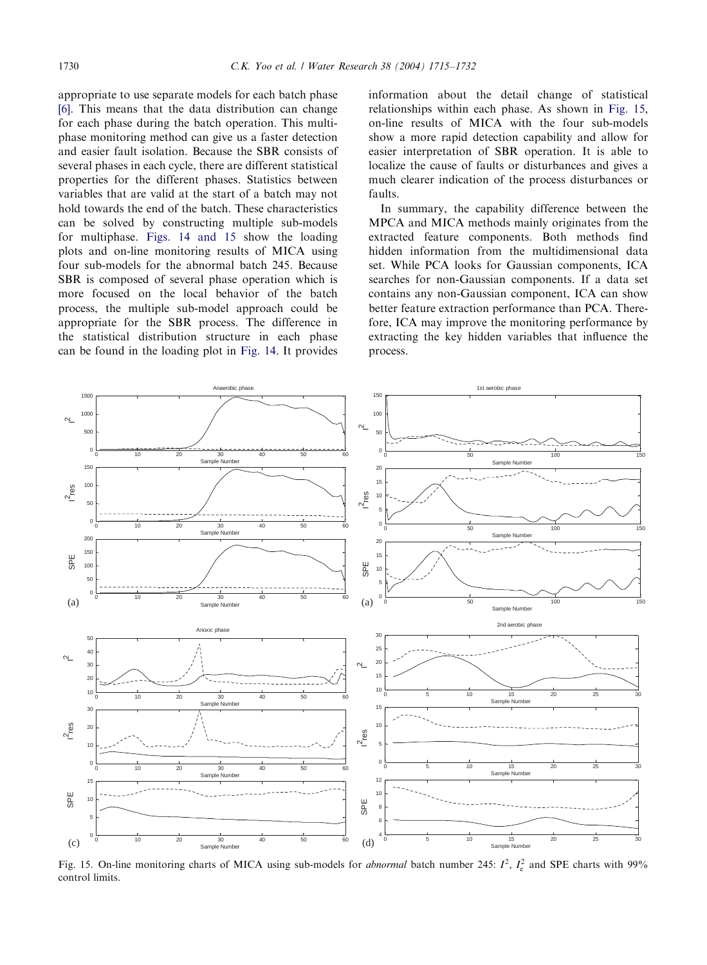appropriate to use separate models for each batch phase [\[6\]](#page-17-0). This means that the data distribution can change for each phase during the batch operation. This multiphase monitoring method can give us a faster detection and easier fault isolation. Because the SBR consists of several phases in each cycle, there are different statistical properties for the different phases. Statistics between variables that are valid at the start of a batch may not hold towards the end of the batch. These characteristics can be solved by constructing multiple sub-models for multiphase. [Figs. 14 and 15](#page-14-0) show the loading plots and on-line monitoring results of MICA using four sub-models for the abnormal batch 245. Because SBR is composed of several phase operation which is more focused on the local behavior of the batch process, the multiple sub-model approach could be appropriate for the SBR process. The difference in the statistical distribution structure in each phase can be found in the loading plot in [Fig. 14](#page-14-0). It provides

information about the detail change of statistical relationships within each phase. As shown in Fig. 15, on-line results of MICA with the four sub-models show a more rapid detection capability and allow for easier interpretation of SBR operation. It is able to localize the cause of faults or disturbances and gives a much clearer indication of the process disturbances or faults.

In summary, the capability difference between the MPCA and MICA methods mainly originates from the extracted feature components. Both methods find hidden information from the multidimensional data set. While PCA looks for Gaussian components, ICA searches for non-Gaussian components. If a data set contains any non-Gaussian component, ICA can show better feature extraction performance than PCA. Therefore, ICA may improve the monitoring performance by extracting the key hidden variables that influence the process.

![](_page_15_Figure_5.jpeg)

Fig. 15. On-line monitoring charts of MICA using sub-models for *abnormal* batch number 245:  $I^2$ ,  $I_c^2$  and SPE charts with 99% control limits.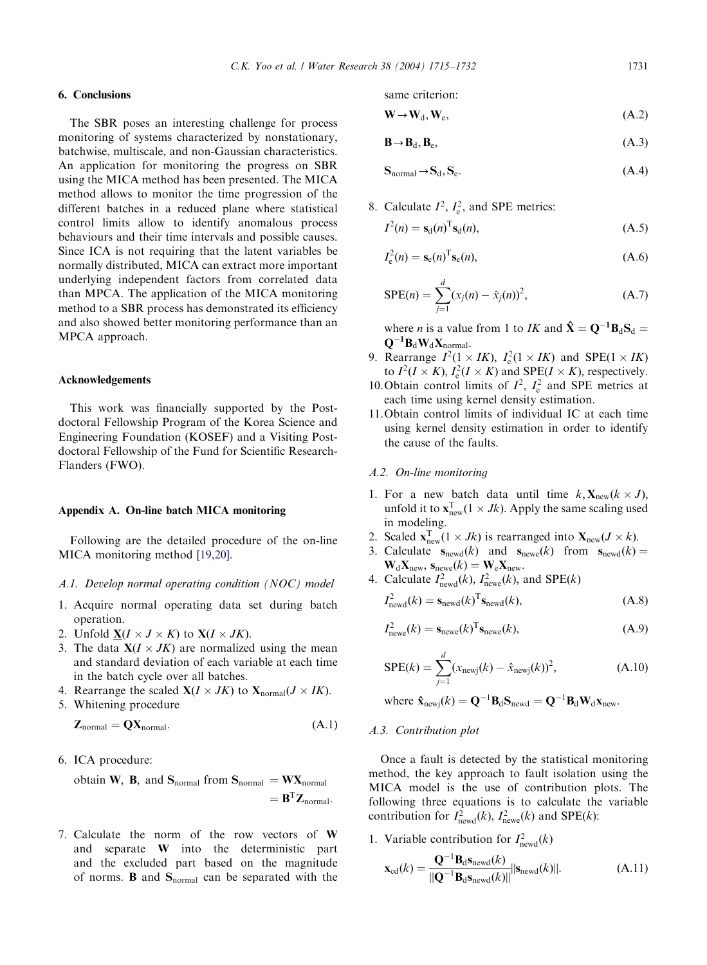# 6. Conclusions

The SBR poses an interesting challenge for process monitoring of systems characterized by nonstationary, batchwise, multiscale, and non-Gaussian characteristics. An application for monitoring the progress on SBR using the MICA method has been presented. The MICA method allows to monitor the time progression of the different batches in a reduced plane where statistical control limits allow to identify anomalous process behaviours and their time intervals and possible causes. Since ICA is not requiring that the latent variables be normally distributed, MICA can extract more important underlying independent factors from correlated data than MPCA. The application of the MICA monitoring method to a SBR process has demonstrated its efficiency and also showed better monitoring performance than an MPCA approach.

## Acknowledgements

This work was financially supported by the Postdoctoral Fellowship Program of the Korea Science and Engineering Foundation (KOSEF) and a Visiting Postdoctoral Fellowship of the Fund for Scientific Research-Flanders (FWO).

#### Appendix A. On-line batch MICA monitoring

Following are the detailed procedure of the on-line MICA monitoring method [\[19,20\].](#page-17-0)

## A.1. Develop normal operating condition (NOC) model

- 1. Acquire normal operating data set during batch operation.
- 2. Unfold  $X(I \times J \times K)$  to  $X(I \times JK)$ .
- 3. The data  $X(I \times JK)$  are normalized using the mean and standard deviation of each variable at each time in the batch cycle over all batches.
- 4. Rearrange the scaled  $X(I \times JK)$  to  $X_{normal}(J \times IK)$ .
- 5. Whitening procedure

$$
Z_{normal} = QX_{normal}. \tag{A.1}
$$

6. ICA procedure:

obtain **W**, **B**, and 
$$
S_{normal}
$$
 from  $S_{normal} = W X_{normal}$   
=  $B^{T} Z_{normal}$ .

7. Calculate the norm of the row vectors of W and separate W into the deterministic part and the excluded part based on the magnitude of norms. **B** and  $S_{normal}$  can be separated with the same criterion:

$$
\mathbf{W} \to \mathbf{W}_d, \mathbf{W}_e, \tag{A.2}
$$

$$
\mathbf{B} \to \mathbf{B}_d, \mathbf{B}_e,\tag{A.3}
$$

$$
S_{normal} \to S_d, S_e. \tag{A.4}
$$

8. Calculate 
$$
I^2
$$
,  $I_e^2$ , and SPE metrics:

$$
I^{2}(n) = \mathbf{s}_{d}(n)^{\mathrm{T}} \mathbf{s}_{d}(n), \tag{A.5}
$$

$$
I_{\rm e}^2(n) = \mathbf{s}_{\rm e}(n)^{\rm T} \mathbf{s}_{\rm e}(n),\tag{A.6}
$$

$$
SPE(n) = \sum_{j=1}^{d} (x_j(n) - \hat{x}_j(n))^2,
$$
 (A.7)

where *n* is a value from 1 to *IK* and  $\hat{\mathbf{X}} = \mathbf{Q}^{-1} \mathbf{B}_d \mathbf{S}_d =$  $\mathbf{Q}^{-1} \mathbf{B}_\mathrm{d} \mathbf{W}_\mathrm{d} \mathbf{X}_\mathrm{normal}.$ 

- 9. Rearrange  $I^2(1 \times IK)$ ,  $I_e^2(1 \times IK)$  and SPE $(1 \times IK)$ to  $I^2(I \times K)$ ,  $I_e^2(I \times K)$  and  $SPE(I \times K)$ , respectively.
- 10. Obtain control limits of  $I^2$ ,  $I_e^2$  and SPE metrics at each time using kernel density estimation.
- 11.Obtain control limits of individual IC at each time using kernel density estimation in order to identify the cause of the faults.

#### A.2. On-line monitoring

- 1. For a new batch data until time  $k$ ,  $\mathbf{X}_{\text{new}}(k \times J)$ , unfold it to  $\mathbf{x}_{\text{new}}^{\text{T}}(1 \times Jk)$ . Apply the same scaling used in modeling.
- 2. Scaled  $\mathbf{x}_{\text{new}}^{\text{T}}(1 \times Jk)$  is rearranged into  $\mathbf{X}_{\text{new}}(J \times k)$ .
- 3. Calculate  $s_{\text{newd}}(k)$  and  $s_{\text{newe}}(k)$  from  $s_{\text{newd}}(k) =$  $\mathbf{W}_{d}\mathbf{X}_{new}$ ,  $\mathbf{s}_{new}$ <sub>(k)</sub> =  $\mathbf{W}_{e}\mathbf{X}_{new}$ .
- 4. Calculate  $I<sub>newd</sub><sup>2</sup>(k)$ ,  $I<sub>newe</sub><sup>2</sup>(k)$ , and SPE(k)

$$
I_{\text{newd}}^2(k) = \mathbf{s}_{\text{newd}}(k)^{\text{T}} \mathbf{s}_{\text{newd}}(k),\tag{A.8}
$$

$$
Inewe2(k) = \mathbf{s}_{newe}(k)T\mathbf{s}_{newe}(k),
$$
 (A.9)

$$
SPE(k) = \sum_{j=1}^{d} (x_{newj}(k) - \hat{x}_{newj}(k))^{2},
$$
 (A.10)

where 
$$
\mathbf{\hat{x}}_{\text{newj}}(k) = \mathbf{Q}^{-1} \mathbf{B}_{\text{d}} \mathbf{S}_{\text{newd}} = \mathbf{Q}^{-1} \mathbf{B}_{\text{d}} \mathbf{W}_{\text{d}} \mathbf{x}_{\text{new}}.
$$

## A.3. Contribution plot

Once a fault is detected by the statistical monitoring method, the key approach to fault isolation using the MICA model is the use of contribution plots. The following three equations is to calculate the variable contribution for  $I<sub>newd</sub><sup>2</sup>(k)$ ,  $I<sub>newe</sub><sup>2</sup>(k)$  and SPE(k):

1. Variable contribution for  $I_{\text{newd}}^2(k)$ 

$$
\mathbf{x}_{\rm cd}(k) = \frac{\mathbf{Q}^{-1} \mathbf{B}_{\rm d} \mathbf{s}_{\rm newd}(k)}{\|\mathbf{Q}^{-1} \mathbf{B}_{\rm d} \mathbf{s}_{\rm newd}(k)\|} |\mathbf{s}_{\rm newd}(k)|. \tag{A.11}
$$